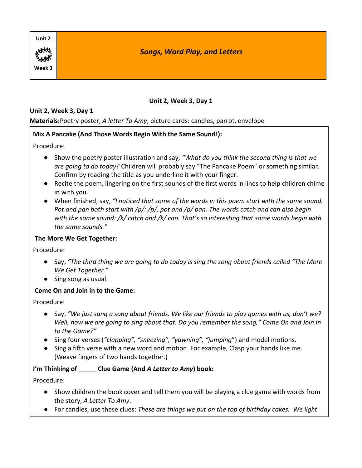| Unit 2 |                                      |
|--------|--------------------------------------|
| HAM    | <b>Songs, Word Play, and Letters</b> |
| Week 3 |                                      |

### **Unit 2, Week 3, Day 1**

#### **Materials:**Poetry poster, *A letter To Amy*, picture cards: candles, parrot, envelope

## **Mix A Pancake (And Those Words Begin With the Same Sound!):**

Procedure:

- Show the poetry poster illustration and say, *"What do you think the second thing is that we are going to do today?* Children will probably say "The Pancake Poem" or something similar. Confirm by reading the title as you underline it with your finger.
- Recite the poem, lingering on the first sounds of the first words in lines to help children chime in with you.
- When finished, say, *"I noticed that some of the words in this poem start with the same sound. Pot and pan both start with /p/: /p/, pot and /p/ pan. The words catch and can also begin with the same sound: /k/ catch and /k/ can. That's so interesting that some words begin with the same sounds."*

#### **The More We Get Together:**

Procedure:

- Say, *"The third thing we are going to do today is sing the song about friends called "The More We Get Together."*
- Sing song as usual.

#### **Come On and Join in to the Game:**

Procedure:

- Say, *"We just sang a song about friends. We like our friends to play games with us, don't we? Well, now we are going to sing about that. Do you remember the song," Come On and Join In to the Game?"*
- Sing four verses (*"clapping", "sneezing", "yawning", "jumping*") and model motions.
- Sing a fifth verse with a new word and motion. For example, Clasp your hands like me. (Weave fingers of two hands together.)

# **I'm Thinking of \_\_\_\_\_ Clue Game (And** *A Letter to Amy***) book:**

- Show children the book cover and tell them you will be playing a clue game with words from the story, *A Letter To Amy*.
- For candles, use these clues: *These are things we put on the top of birthday cakes. We light*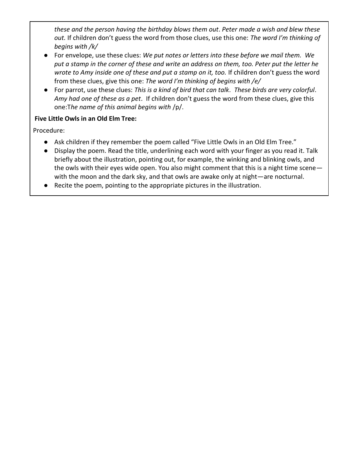*these and the person having the birthday blows them out*. *Peter made a wish and blew these out.* If children don't guess the word from those clues, use this one: *The word I'm thinking of begins with /k/*

- For envelope, use these clues: *We put notes or letters into these before we mail them. We put a stamp in the corner of these and write an address on them, too. Peter put the letter he*  wrote to Amy inside one of these and put a stamp on it, too. If children don't guess the word from these clues, give this one: *The word I'm thinking of begins with /e/*
- For parrot, use these clues: *This is a kind of bird that can talk*. *These birds are very colorful*. *Amy had one of these as a pet*. If children don't guess the word from these clues, give this one:T*he name of this animal begins with* /p/.

#### **Five Little Owls in an Old Elm Tree:**

- Ask children if they remember the poem called "Five Little Owls in an Old Elm Tree."
- Display the poem. Read the title, underlining each word with your finger as you read it. Talk briefly about the illustration, pointing out, for example, the winking and blinking owls, and the owls with their eyes wide open. You also might comment that this is a night time scene with the moon and the dark sky, and that owls are awake only at night—are nocturnal.
- Recite the poem, pointing to the appropriate pictures in the illustration.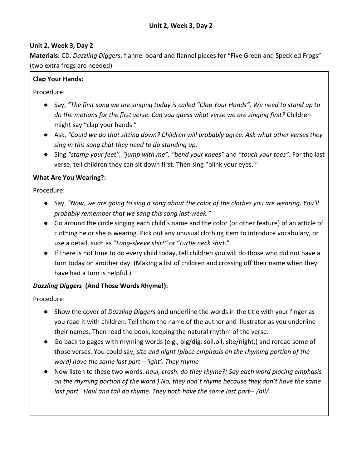**Materials:** CD, *Dazzling Diggers*, flannel board and flannel pieces for "Five Green and Speckled Frogs" (two extra frogs are needed)

#### **Clap Your Hands:**

Procedure:

- Say, *"The first song we are singing today is called "Clap Your Hands". We need to stand up to do the motions for the first verse. Can you guess what verse we are singing first?* Children might say "clap your hands."
- Ask, *"Could we do that sitting down? Children will probably agree. Ask what other verses they sing in this song that they need to do standing up.*
- Sing *"stamp your feet", "jump with me", "bend your knees"* and *"touch your toes"*. For the last verse, tell children they can sit down first. Then sing "blink your eyes. "

#### **What Are You Wearing?:**

Procedure:

- Say, *"Now, we are going to sing a song about the color of the clothes you are wearing. You'll probably remember that we sang this song last week."*
- Go around the circle singing each child's name and the color (or other feature) of an article of clothing he or she is wearing. Pick out any unusual clothing item to introduce vocabulary, or use a detail, such as "*Long-sleeve shirt"* or "*turtle neck shirt.*"
- If there is not time to do every child today, tell children you will do those who did not have a turn today on another day. (Making a list of children and crossing off their name when they have had a turn is helpful.)

#### *Dazzling Diggers* **(And Those Words Rhyme!):**

- Show the cover of *Dazzling Diggers* and underline the words in the title with your finger as you read it with children. Tell them the name of the author and illustrator as you underline their names. Then read the book, keeping the natural rhythm of the verse.
- Go back to pages with rhyming words (e.g., big/dig, soil.oil, site/night,) and reread some of those verses. You could say, *site and night (place emphasis on the rhyming portion of the word) have the same last part—'ight'. They rhyme*
- Now listen to these two words. *haul, crash, do they rhyme?( Say each word placing emphasis on the rhyming portion of the word.) No, they don't rhyme because they don't have the same last part. Haul and tall do rhyme. They both have the same last part-- /all/.*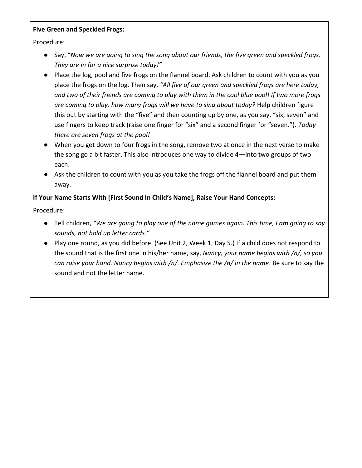#### **Five Green and Speckled Frogs:**

Procedure:

- Say, "*Now we are going to sing the song about our friends, the five green and speckled frogs. They are in for a nice surprise today!"*
- Place the log, pool and five frogs on the flannel board. Ask children to count with you as you place the frogs on the log. Then say, *"All five of our green and speckled frogs are here today, and two of their friends are coming to play with them in the cool blue pool! If two more frogs are coming to play, how many frogs will we have to sing about today?* Help children figure this out by starting with the "five" and then counting up by one, as you say, "six, seven" and use fingers to keep track (raise one finger for "six" and a second finger for "seven."). *Today there are seven frogs at the pool!*
- When you get down to four frogs in the song, remove two at once in the next verse to make the song go a bit faster. This also introduces one way to divide 4—into two groups of two each.
- Ask the children to count with you as you take the frogs off the flannel board and put them away.

## **If Your Name Starts With [First Sound In Child's Name], Raise Your Hand Concepts:**

- Tell children, *"We are going to play one of the name games again. This time, I am going to say sounds, not hold up letter cards."*
- Play one round, as you did before. (See Unit 2, Week 1, Day 5.) If a child does not respond to the sound that is the first one in his/her name, say, *Nancy, your name begins with /n/, so you can raise your hand. Nancy begins with /n/. Emphasize the /n/ in the name*. Be sure to say the sound and not the letter name.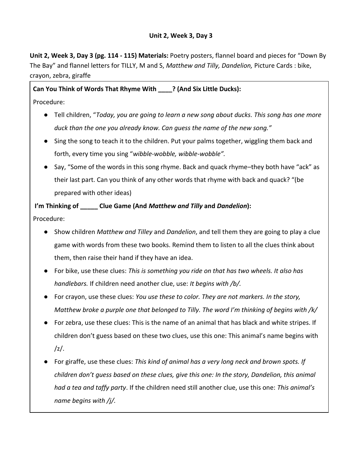**Unit 2, Week 3, Day 3 (pg. 114 - 115) Materials:** Poetry posters, flannel board and pieces for "Down By The Bay" and flannel letters for TILLY, M and S, *Matthew and Tilly, Dandelion,* Picture Cards : bike, crayon, zebra, giraffe

# **Can You Think of Words That Rhyme With \_\_\_\_? (And Six Little Ducks):**

- Procedure:
	- Tell children, "*Today, you are going to learn a new song about ducks. This song has one more duck than the one you already know. Can guess the name of the new song."*
	- Sing the song to teach it to the children. Put your palms together, wiggling them back and forth, every time you sing "*wibble-wobble, wibble-wobble".*
	- Say, "Some of the words in this song rhyme. Back and quack rhyme–they both have "ack" as their last part. Can you think of any other words that rhyme with back and quack? "(be prepared with other ideas)

#### **I'm Thinking of \_\_\_\_\_ Clue Game (And** *Matthew and Tilly* **and** *Dandelion***):**

- Show children *Matthew and Tilley* and *Dandelion*, and tell them they are going to play a clue game with words from these two books. Remind them to listen to all the clues think about them, then raise their hand if they have an idea.
- For bike, use these clues: *This is something you ride on that has two wheels. It also has handlebars.* If children need another clue, use: *It begins with /b/.*
- For crayon, use these clues: *You use these to color. They are not markers. In the story, Matthew broke a purple one that belonged to Tilly. The word I'm thinking of begins with /k/*
- For zebra, use these clues: This is the name of an animal that has black and white stripes. If children don't guess based on these two clues, use this one: This animal's name begins with  $\frac{1}{2}$ .
- For giraffe, use these clues: *This kind of animal has a very long neck and brown spots. If children don't guess based on these clues, give this one: In the story, Dandelion, this animal had a tea and taffy party*. If the children need still another clue, use this one: *This animal's name begins with /j/.*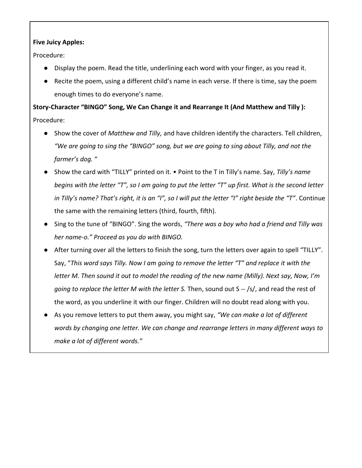#### **Five Juicy Apples:**

Procedure:

- Display the poem. Read the title, underlining each word with your finger, as you read it.
- Recite the poem, using a different child's name in each verse. If there is time, say the poem enough times to do everyone's name.

**Story-Character "BINGO" Song, We Can Change it and Rearrange It (And Matthew and Tilly ):**  Procedure:

- Show the cover of *Matthew and Tilly,* and have children identify the characters. Tell children, *"We are going to sing the "BINGO" song, but we are going to sing about Tilly, and not the farmer's dog.* "
- Show the card with "TILLY" printed on it. Point to the T in Tilly's name. Say, *Tilly's name begins with the letter "T", so I am going to put the letter "T" up first. What is the second letter in Tilly's name? That's right, it is an "I", so I will put the letter "I" right beside the "T"*. Continue the same with the remaining letters (third, fourth, fifth).
- Sing to the tune of "BINGO". Sing the words, *"There was a boy who had a friend and Tilly was her name-o." Proceed as you do with BINGO.*
- After turning over all the letters to finish the song, turn the letters over again to spell "TILLY". Say, "*This word says Tilly. Now I am going to remove the letter "T" and replace it with the letter M. Then sound it out to model the reading of the new name (Milly). Next say, Now, I'm going to replace the letter M with the letter S.* Then, sound out S -- /s/, and read the rest of the word, as you underline it with our finger. Children will no doubt read along with you.
- As you remove letters to put them away, you might say, *"We can make a lot of different words by changing one letter. We can change and rearrange letters in many different ways to make a lot of different words."*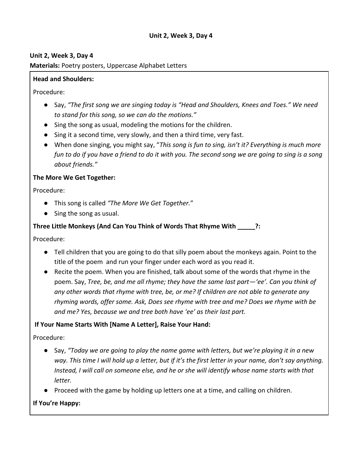**Materials:** Poetry posters, Uppercase Alphabet Letters

#### **Head and Shoulders:**

Procedure:

- Say, *"The first song we are singing today is "Head and Shoulders, Knees and Toes." We need to stand for this song, so we can do the motions."*
- Sing the song as usual, modeling the motions for the children.
- Sing it a second time, very slowly, and then a third time, very fast.
- When done singing, you might say, "*This song is fun to sing, isn't it? Everything is much more fun to do if you have a friend to do it with you. The second song we are going to sing is a song about friends."*

#### **The More We Get Together:**

Procedure:

- This song is called *"The More We Get Together.*"
- Sing the song as usual.

## **Three Little Monkeys (And Can You Think of Words That Rhyme With \_\_\_\_\_?:**

Procedure:

- Tell children that you are going to do that silly poem about the monkeys again. Point to the title of the poem and run your finger under each word as you read it.
- Recite the poem. When you are finished, talk about some of the words that rhyme in the poem. Say, *Tree, be, and me all rhyme; they have the same last part—'ee'. Can you think of any other words that rhyme with tree, be, or me? If children are not able to generate any rhyming words, offer some. Ask, Does see rhyme with tree and me? Does we rhyme with be and me? Yes, because we and tree both have 'ee' as their last part.*

#### **If Your Name Starts With [Name A Letter], Raise Your Hand:**

Procedure:

- Say, *"Today we are going to play the name game with letters, but we're playing it in a new way. This time I will hold up a letter, but if it's the first letter in your name, don't say anything. Instead, I will call on someone else, and he or she will identify whose name starts with that letter.*
- Proceed with the game by holding up letters one at a time, and calling on children.

#### **If You're Happy:**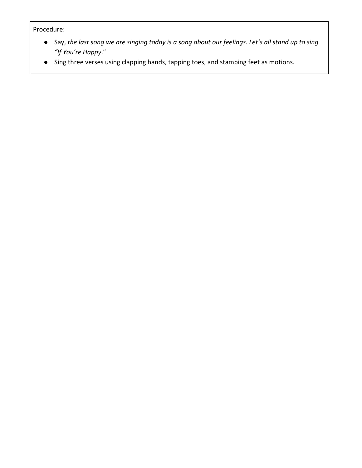- Say, *the last song we are singing today is a song about our feelings. Let's all stand up to sing "If You're Happy*."
- Sing three verses using clapping hands, tapping toes, and stamping feet as motions.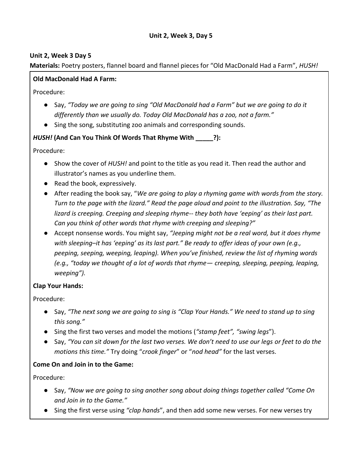**Materials:** Poetry posters, flannel board and flannel pieces for "Old MacDonald Had a Farm", *HUSH!* 

# **Old MacDonald Had A Farm:**

Procedure:

- Say, *"Today we are going to sing "Old MacDonald had a Farm" but we are going to do it differently than we usually do. Today Old MacDonald has a zoo, not a farm."*
- Sing the song, substituting zoo animals and corresponding sounds.

# *HUSH!* **(And Can You Think Of Words That Rhyme With \_\_\_\_\_?):**

Procedure:

- Show the cover of *HUSH!* and point to the title as you read it. Then read the author and illustrator's names as you underline them.
- Read the book, expressively.
- After reading the book say, "*We are going to play a rhyming game with words from the story. Turn to the page with the lizard." Read the page aloud and point to the illustration. Say, "The lizard is creeping. Creeping and sleeping rhyme-- they both have 'eeping' as their last part. Can you think of other words that rhyme with creeping and sleeping?"*
- Accept nonsense words. You might say, *"Jeeping might not be a real word, but it does rhyme with sleeping–it has 'eeping' as its last part." Be ready to offer ideas of your own (e.g., peeping, seeping, weeping, leaping). When you've finished, review the list of rhyming words (e.g., "today we thought of a lot of words that rhyme— creeping, sleeping, peeping, leaping, weeping").*

# **Clap Your Hands:**

Procedure:

- Say, *"The next song we are going to sing is "Clap Your Hands." We need to stand up to sing this song."*
- Sing the first two verses and model the motions (*"stamp feet", "swing legs*").
- Say, "You can sit down for the last two verses. We don't need to use our legs or feet to do the *motions this time."* Try doing "*crook finger*" or "*nod head"* for the last verses.

# **Come On and Join in to the Game:**

- Say, *"Now we are going to sing another song about doing things together called "Come On and Join in to the Game."*
- Sing the first verse using *"clap hands*", and then add some new verses. For new verses try